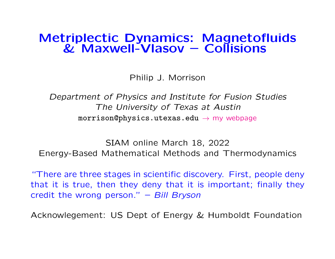# Metriplectic Dynamics: Magnetofluids & Maxwell-Vlasov – Collisions

Philip J. Morrison

Department of Physics and Institute for Fusion Studies The University of Texas at Austin  $morrison@physics.utexas.edu \rightarrow my webpage$  $morrison@physics.utexas.edu \rightarrow my webpage$ 

SIAM online March 18, 2022 Energy-Based Mathematical Methods and Thermodynamics

"There are three stages in scientific discovery. First, people deny that it is true, then they deny that it is important; finally they credit the wrong person." – Bill Bryson

Acknowlegement: US Dept of Energy & Humboldt Foundation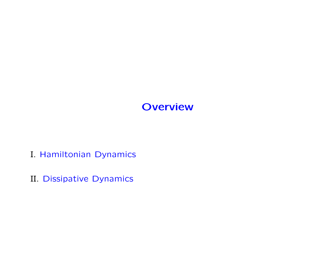# **Overview**

- I. Hamiltonian Dynamics
- II. Dissipative Dynamics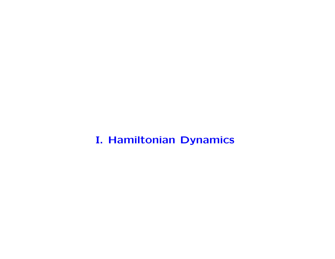I. Hamiltonian Dynamics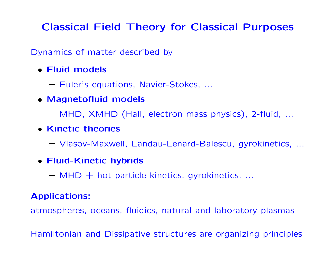# Classical Field Theory for Classical Purposes

Dynamics of matter described by

- Fluid models
	- Euler's equations, Navier-Stokes, ...
- Magnetofluid models
	- MHD, XMHD (Hall, electron mass physics), 2-fluid, ...
- Kinetic theories
	- Vlasov-Maxwell, Landau-Lenard-Balescu, gyrokinetics, ...
- Fluid-Kinetic hybrids
	- $-$  MHD  $+$  hot particle kinetics, gyrokinetics, ...

### Applications:

atmospheres, oceans, fluidics, natural and laboratory plasmas

Hamiltonian and Dissipative structures are organizing principles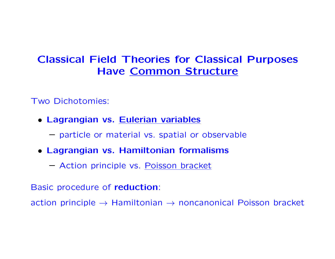# Classical Field Theories for Classical Purposes Have Common Structure

Two Dichotomies:

- Lagrangian vs. Eulerian variables
	- particle or material vs. spatial or observable
- Lagrangian vs. Hamiltonian formalisms
	- Action principle vs. Poisson bracket

Basic procedure of reduction:

action principle  $\rightarrow$  Hamiltonian  $\rightarrow$  noncanonical Poisson bracket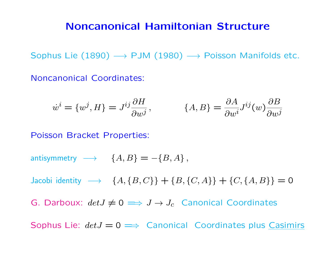### Noncanonical Hamiltonian Structure

Sophus Lie (1890)  $\longrightarrow$  PJM (1980)  $\longrightarrow$  Poisson Manifolds etc.

Noncanonical Coordinates:

$$
\dot{w}^i = \{w^j, H\} = J^{ij} \frac{\partial H}{\partial w^j}, \qquad \{A, B\} = \frac{\partial A}{\partial w^i} J^{ij}(w) \frac{\partial B}{\partial w^j}
$$

Poisson Bracket Properties:

antisymmetry  $\longrightarrow$   $\{A, B\} = -\{B, A\},\$ 

Jacobi identity  $\longrightarrow \{A, \{B, C\}\} + \{B, \{C, A\}\} + \{C, \{A, B\}\} = 0$ 

G. Darboux:  $det J \neq 0 \implies J \rightarrow J_c$  Canonical Coordinates

Sophus Lie:  $det J = 0 \implies$  Canonical Coordinates plus Casimirs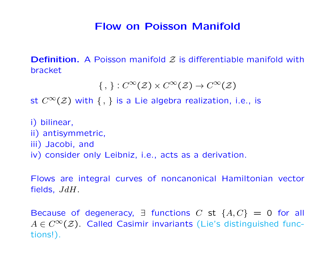# Flow on Poisson Manifold

**Definition.** A Poisson manifold  $Z$  is differentiable manifold with bracket

```
\{ , \} : C^{\infty}(\mathcal{Z}) \times C^{\infty}(\mathcal{Z}) \rightarrow C^{\infty}(\mathcal{Z})
```
st  $C^{\infty}(\mathcal{Z})$  with  $\{ , \}$  is a Lie algebra realization, i.e., is

i) bilinear, ii) antisymmetric, iii) Jacobi, and iv) consider only Leibniz, i.e., acts as a derivation.

Flows are integral curves of noncanonical Hamiltonian vector fields, JdH.

Because of degeneracy,  $\exists$  functions C st  $\{A, C\} = 0$  for all  $A \in C^{\infty}(\mathcal{Z})$ . Called Casimir invariants (Lie's distinguished functions!).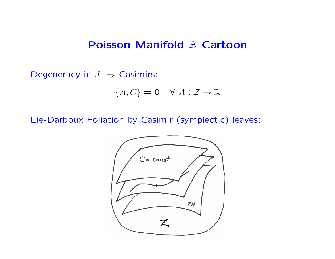### Poisson Manifold  $Z$  Cartoon

Degeneracy in  $J \Rightarrow$  Casimirs:

$$
\{A, C\} = 0 \quad \forall \ A: \mathcal{Z} \to \mathbb{R}
$$

Lie-Darboux Foliation by Casimir (symplectic) leaves:

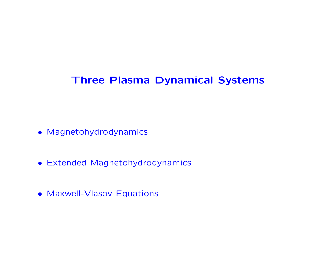# Three Plasma Dynamical Systems

- Magnetohydrodynamics
- Extended Magnetohydrodynamics
- Maxwell-Vlasov Equations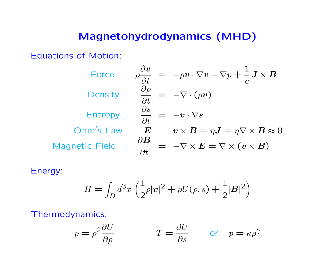# Magnetohydrodynamics (MHD)

Equations of Motion:

| Force                 | $\frac{\partial \bm{v}}{\partial \bm{v}}$<br>$\hspace{.18cm} = \hspace{.3cm} -\rho \boldsymbol{v} \cdot \nabla \boldsymbol{v} - \nabla p + \frac{1}{a} \boldsymbol{J} \times \boldsymbol{B}$<br>$\rho\frac{\partial}{\partial t}$ |
|-----------------------|-----------------------------------------------------------------------------------------------------------------------------------------------------------------------------------------------------------------------------------|
| Density               | $\partial \rho$<br>$= -\nabla \cdot (\rho v)$<br>$\overline{\partial t}$                                                                                                                                                          |
| Entropy               | $\partial s$<br>$= -v \cdot \nabla s$<br>$\frac{1}{\partial t}$                                                                                                                                                                   |
| Ohm's Law             | $E + v \times B = \eta J = \eta \nabla \times B \approx 0$                                                                                                                                                                        |
| <b>Magnetic Field</b> | $\partial \boldsymbol{B}$<br>$= -\nabla \times E = \nabla \times (v \times B)$<br>$\partial t$                                                                                                                                    |

Energy:

$$
H = \int_D d^3x \left( \frac{1}{2} \rho |v|^2 + \rho U(\rho, s) + \frac{1}{2} |B|^2 \right)
$$

Thermodynamics:

$$
p = \rho^2 \frac{\partial U}{\partial \rho}
$$
  $T = \frac{\partial U}{\partial s}$  or  $p = \kappa \rho^{\gamma}$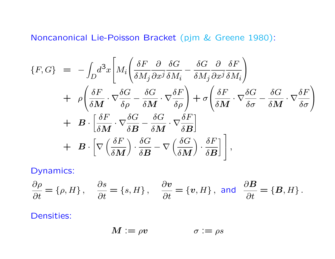Noncanonical Lie-Poisson Bracket (pjm & Greene 1980):

$$
\{F, G\} = -\int_{D} d^{3}x \left[ M_{i} \left( \frac{\delta F}{\delta M_{j}} \frac{\partial}{\partial x^{j}} \frac{\delta G}{\delta M_{i}} - \frac{\delta G}{\delta M_{j}} \frac{\partial}{\partial x^{j}} \frac{\delta F}{\delta M_{i}} \right) \right. \n+ \rho \left( \frac{\delta F}{\delta M} \cdot \nabla \frac{\delta G}{\delta \rho} - \frac{\delta G}{\delta M} \cdot \nabla \frac{\delta F}{\delta \rho} \right) + \sigma \left( \frac{\delta F}{\delta M} \cdot \nabla \frac{\delta G}{\delta \sigma} - \frac{\delta G}{\delta M} \cdot \nabla \frac{\delta F}{\delta \sigma} \right) \n+ \mathbf{B} \cdot \left[ \frac{\delta F}{\delta M} \cdot \nabla \frac{\delta G}{\delta B} - \frac{\delta G}{\delta M} \cdot \nabla \frac{\delta F}{\delta B} \right] \n+ \mathbf{B} \cdot \left[ \nabla \left( \frac{\delta F}{\delta M} \right) \cdot \frac{\delta G}{\delta B} - \nabla \left( \frac{\delta G}{\delta M} \right) \cdot \frac{\delta F}{\delta B} \right],
$$

Dynamics:

$$
\frac{\partial \rho}{\partial t} = \{\rho, H\}, \quad \frac{\partial s}{\partial t} = \{s, H\}, \quad \frac{\partial v}{\partial t} = \{v, H\}, \text{ and } \frac{\partial B}{\partial t} = \{B, H\}.
$$

Densities:

$$
M:=\rho v\qquad\qquad\sigma:=\rho s
$$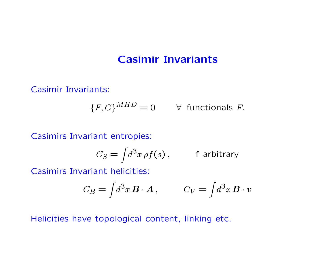## Casimir Invariants

Casimir Invariants:

$$
\{F, C\}^{MHD} = 0 \qquad \forall \text{ functionals } F.
$$

Casimirs Invariant entropies:

$$
C_S = \int d^3x \,\rho f(s) \,, \qquad \text{f arbitrary}
$$

Casimirs Invariant helicities:

$$
C_B = \int d^3x \, \mathbf{B} \cdot \mathbf{A} \,, \qquad C_V = \int d^3x \, \mathbf{B} \cdot \mathbf{v}
$$

Helicities have topological content, linking etc.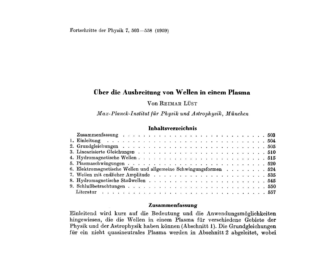### **Uber die Ausbreitung von Wellen in einem Plasma**

### Von **REIMAR** LUST

*Max- Planck-Institut fiir Ph* ysilc *und Astsoph* ysik, *Miinchen* 

### **Inhaltsverzeichnis**

| 6. Elektromagnetische Wellen und allgemeine Schwingungsformen 524 |
|-------------------------------------------------------------------|
|                                                                   |
|                                                                   |
|                                                                   |
|                                                                   |

#### **Zusammenfassung**

Einleitend wird kurz auf die Bedeutung und die Anwendungsmoglichkeiten hingewiesen, die die Wellen in einem Plasma fur verschiedene Gebiete der Physik und der Astrophysik haben können (Abschnitt 1). Die Grundgleichungen fur ein nicht quasineutrales Plasma werden in Abschnitt **2** abgeleitet, wobei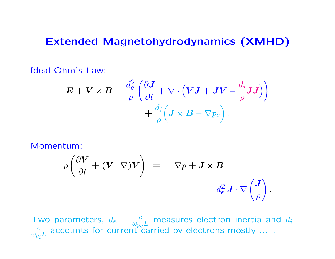### Extended Magnetohydrodynamics (XMHD)

Ideal Ohm's Law:

$$
\boldsymbol{E} + \boldsymbol{V} \times \boldsymbol{B} = \frac{d_e^2}{\rho} \left( \frac{\partial \boldsymbol{J}}{\partial t} + \nabla \cdot (\boldsymbol{V} \boldsymbol{J} + \boldsymbol{J} \boldsymbol{V} - \frac{d_i}{\rho} \boldsymbol{J} \boldsymbol{J}) \right) + \frac{d_i}{\rho} \left( \boldsymbol{J} \times \boldsymbol{B} - \nabla p_e \right).
$$

Momentum:

$$
\rho \left( \frac{\partial V}{\partial t} + (V \cdot \nabla) V \right) = -\nabla p + J \times B
$$

$$
-d_e^2 J \cdot \nabla \left( \frac{J}{\rho} \right)
$$

.

Two parameters,  $d_e = \frac{c}{\omega_{pe}L}$  measures electron inertia and  $d_i = \frac{c}{\omega_{pe}L}$  accounts for current carried by electrons mostly  $\overline{\omega_{p_i} L}$ accounts for current carried by electrons mostly ....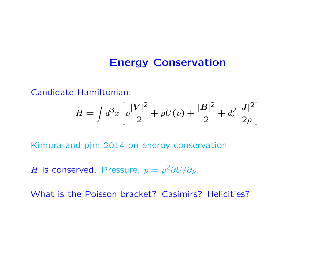### Energy Conservation

Candidate Hamiltonian:

$$
H = \int d^3x \left[ \rho \frac{|V|^2}{2} + \rho U(\rho) + \frac{|B|^2}{2} + d_e^2 \frac{|J|^2}{2\rho} \right]
$$

Kimura and pjm 2014 on energy conservation

H is conserved. Pressure,  $p = \rho^2 \partial U/\partial \rho$ .

What is the Poisson bracket? Casimirs? Helicities?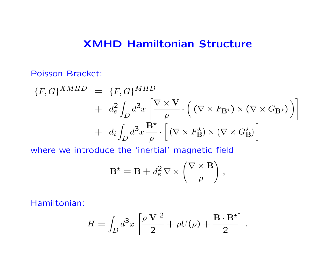### XMHD Hamiltonian Structure

Poisson Bracket:

$$
\{F, G\}^{XMHD} = \{F, G\}^{MHD}
$$
  
+  $d_e^2 \int_D d^3x \left[ \frac{\nabla \times \mathbf{V}}{\rho} \cdot \left( (\nabla \times F_{\mathbf{B}^{\star}}) \times (\nabla \times G_{\mathbf{B}^{\star}}) \right) \right]$   
+  $d_i \int_D d^3x \frac{\mathbf{B}^{\star}}{\rho} \cdot \left[ (\nabla \times F_{\mathbf{B}}^{\star}) \times (\nabla \times G_{\mathbf{B}}^{\star}) \right]$ 

where we introduce the 'inertial' magnetic field

$$
\mathbf{B}^{\star} = \mathbf{B} + d_e^2 \, \nabla \times \left(\frac{\nabla \times \mathbf{B}}{\rho}\right) \,,
$$

Hamiltonian:

$$
H = \int_D d^3x \left[ \frac{\rho |\mathbf{V}|^2}{2} + \rho U(\rho) + \frac{\mathbf{B} \cdot \mathbf{B}^{\star}}{2} \right].
$$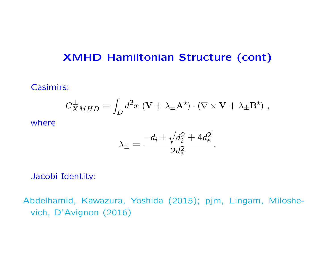# XMHD Hamiltonian Structure (cont)

### Casimirs;

$$
C_{XMHD}^{\pm} = \int_D d^3x \, (\mathbf{V} + \lambda_{\pm} \mathbf{A}^{\star}) \cdot (\nabla \times \mathbf{V} + \lambda_{\pm} \mathbf{B}^{\star}) \; ,
$$

where

$$
\lambda_{\pm} = \frac{-d_i \pm \sqrt{d_i^2 + 4d_e^2}}{2d_e^2}
$$

.

Jacobi Identity:

Abdelhamid, Kawazura, Yoshida (2015); pjm, Lingam, Miloshevich, D'Avignon (2016)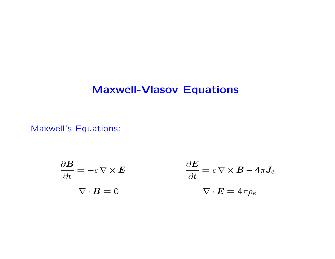# Maxwell-Vlasov Equations

Maxwell's Equations:

$$
\frac{\partial \mathbf{B}}{\partial t} = -c \nabla \times \mathbf{E}
$$

$$
\frac{\partial \mathbf{E}}{\partial t} = c \nabla \times \mathbf{B} - 4\pi \mathbf{J}_e
$$

$$
\nabla \cdot \mathbf{B} = 0
$$

$$
\nabla \cdot \mathbf{E} = 4\pi \rho_e
$$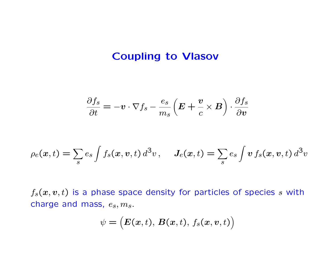## Coupling to Vlasov

$$
\frac{\partial f_s}{\partial t} = -\boldsymbol{v} \cdot \nabla f_s - \frac{e_s}{m_s} \left( \boldsymbol{E} + \frac{\boldsymbol{v}}{c} \times \boldsymbol{B} \right) \cdot \frac{\partial f_s}{\partial \boldsymbol{v}}
$$

$$
\rho_e(\boldsymbol{x},t) = \sum_s e_s \int f_s(\boldsymbol{x},\boldsymbol{v},t) d^3v, \quad J_e(\boldsymbol{x},t) = \sum_s e_s \int \boldsymbol{v} f_s(\boldsymbol{x},\boldsymbol{v},t) d^3v
$$

 $f_s(x, v, t)$  is a phase space density for particles of species s with charge and mass,  $e_s$ ,  $m_s$ .

$$
\psi=\big(\boldsymbol{E}(\boldsymbol{x},t),\,\boldsymbol{B}(\boldsymbol{x},t),\,f_s(\boldsymbol{x},\boldsymbol{v},t)\big)
$$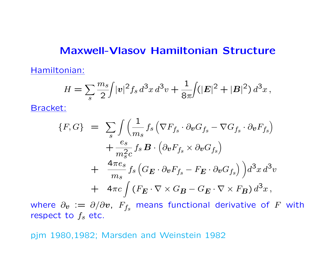### Maxwell-Vlasov Hamiltonian Structure

Hamiltonian:

$$
H = \sum_{s} \frac{m_s}{2} \int |v|^2 f_s d^3x d^3v + \frac{1}{8\pi} \int (|\mathbf{E}|^2 + |\mathbf{B}|^2) d^3x,
$$

Bracket:

$$
\{F, G\} = \sum_{s} \int \left( \frac{1}{m_s} f_s \left( \nabla F_{f_s} \cdot \partial_v G_{f_s} - \nabla G_{f_s} \cdot \partial_v F_{f_s} \right) \right. \\
\left. + \frac{e_s}{m_s^2 c} f_s \, \mathbf{B} \cdot \left( \partial_v F_{f_s} \times \partial_v G_{f_s} \right) \right. \\
\left. + \frac{4 \pi e_s}{m_s} f_s \left( G_{\mathbf{E}} \cdot \partial_v F_{f_s} - F_{\mathbf{E}} \cdot \partial_v G_{f_s} \right) \right) d^3 x \, d^3 v \\
\left. + 4 \pi c \int \left( F_{\mathbf{E}} \cdot \nabla \times G_{\mathbf{B}} - G_{\mathbf{E}} \cdot \nabla \times F_{\mathbf{B}} \right) d^3 x \right),
$$

where  $\partial_{\bm{v}}\,:=\,\partial/\partial\bm{v},\,$   $F_{f_s}$  means functional derivative of  $F$  with respect to  $f_s$  etc.

pjm 1980,1982; Marsden and Weinstein 1982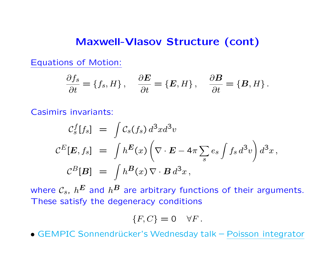### Maxwell-Vlasov Structure (cont)

Equations of Motion:

$$
\frac{\partial f_s}{\partial t} = \{f_s, H\}, \quad \frac{\partial E}{\partial t} = \{E, H\}, \quad \frac{\partial B}{\partial t} = \{B, H\}.
$$

Casimirs invariants:

$$
\mathcal{C}_s^f[f_s] = \int \mathcal{C}_s(f_s) d^3x d^3v
$$
  

$$
\mathcal{C}^E[\mathbf{E}, f_s] = \int h^{\mathbf{E}}(x) \left( \nabla \cdot \mathbf{E} - 4\pi \sum_s e_s \int f_s d^3v \right) d^3x,
$$
  

$$
\mathcal{C}^B[\mathbf{B}] = \int h^{\mathbf{B}}(x) \nabla \cdot \mathbf{B} d^3x,
$$

where  $\mathcal{C}_s$ ,  $h^{\boldsymbol{E}}$  and  $h^{\boldsymbol{B}}$  are arbitrary functions of their arguments. These satisfy the degeneracy conditions

$$
\{F, C\} = 0 \quad \forall F.
$$

• GEMPIC Sonnendrücker's Wednesday talk – Poisson integrator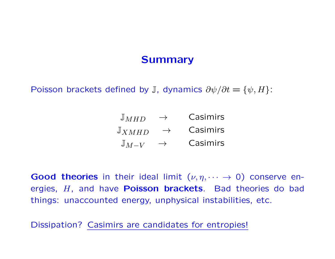# **Summary**

Poisson brackets defined by J, dynamics  $\partial \psi / \partial t = \{ \psi, H \}$ :

| $\mathbb{J}$ MHD   | Casimirs |
|--------------------|----------|
| $\mathbb{J}$ XMHD  | Casimirs |
| $\mathbb{J}_{M-V}$ | Casimirs |

Good theories in their ideal limit  $(\nu, \eta, \dots \to 0)$  conserve energies,  $H$ , and have **Poisson brackets**. Bad theories do bad things: unaccounted energy, unphysical instabilities, etc.

Dissipation? Casimirs are candidates for entropies!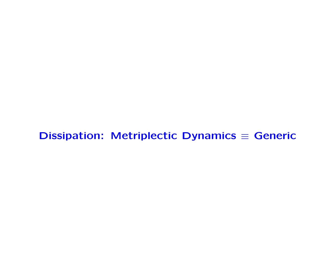# Dissipation: Metriplectic Dynamics  $\equiv$  Generic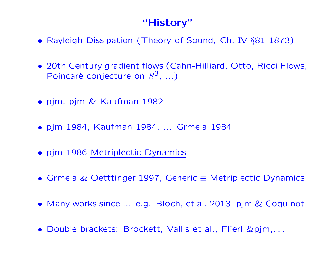# "History"

- Rayleigh Dissipation (Theory of Sound, Ch. IV §81 1873)
- 20th Century gradient flows (Cahn-Hilliard, Otto, Ricci Flows, Poincarè conjecture on  $S^3$ , ...)
- pjm, pjm & Kaufman 1982
- pjm 1984, Kaufman 1984, ... Grmela 1984
- pjm 1986 Metriplectic Dynamics
- Grmela & Oetttinger 1997, Generic ≡ Metriplectic Dynamics
- Many works since ... e.g. Bloch, et al. 2013, pjm & Coquinot
- Double brackets: Brockett, Vallis et al., Flierl &pjm,. . .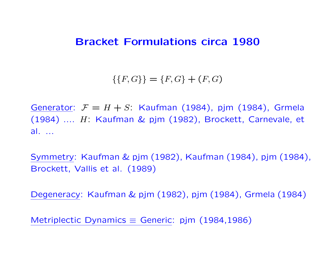### Bracket Formulations circa 1980

 $\{\{F,G\}\} = \{F,G\} + (F,G)$ 

Generator:  $\mathcal{F} = H + S$ : Kaufman (1984), pjm (1984), Grmela (1984) .... H: Kaufman & pjm (1982), Brockett, Carnevale, et al. ...

Symmetry: Kaufman & pjm (1982), Kaufman (1984), pjm (1984), Brockett, Vallis et al. (1989)

Degeneracy: Kaufman & pjm (1982), pjm (1984), Grmela (1984)

Metriplectic Dynamics  $\equiv$  Generic: pjm (1984,1986)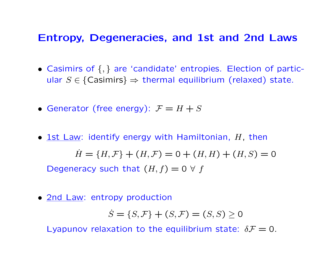### Entropy, Degeneracies, and 1st and 2nd Laws

- Casimirs of {, } are 'candidate' entropies. Election of particular  $S \in \{Casimirs\} \Rightarrow$  thermal equilibrium (relaxed) state.
- Generator (free energy):  $\mathcal{F} = H + S$
- 1st Law: identify energy with Hamiltonian,  $H$ , then  $H = {H, F} + (H, F) = 0 + (H, H) + (H, S) = 0$ Degeneracy such that  $(H, f) = 0 \forall f$
- 2nd Law: entropy production

$$
\dot{S} = \{S, \mathcal{F}\} + (S, \mathcal{F}) = (S, S) \ge 0
$$

Lyapunov relaxation to the equilibrium state:  $\delta \mathcal{F}=0$ .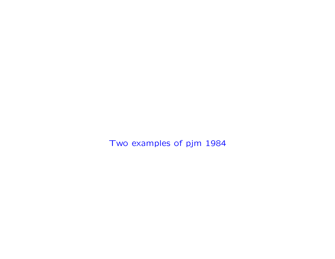Two examples of pjm 1984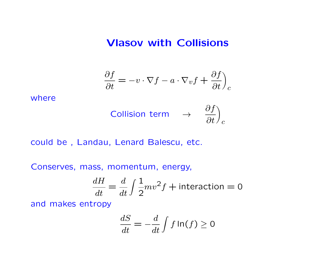### Vlasov with Collisions

$$
\frac{\partial f}{\partial t} = -v \cdot \nabla f - a \cdot \nabla_v f + \frac{\partial f}{\partial t} \Big)_c
$$

where

$$
\text{Collision term} \quad \rightarrow \quad \frac{\partial f}{\partial t} \Big)_c
$$

could be , Landau, Lenard Balescu, etc.

Conserves, mass, momentum, energy,

$$
\frac{dH}{dt} = \frac{d}{dt} \int \frac{1}{2}mv^2 f + \text{interaction} = 0
$$

and makes entropy

$$
\frac{dS}{dt} = -\frac{d}{dt} \int f \ln(f) \ge 0
$$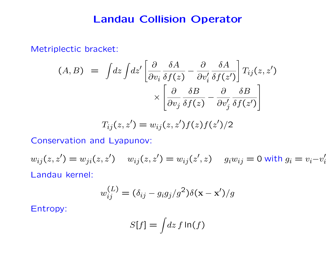## Landau Collision Operator

Metriplectic bracket:

$$
(A, B) = \int dz \int dz' \left[ \frac{\partial}{\partial v_i} \frac{\delta A}{\delta f(z)} - \frac{\partial}{\partial v'_i} \frac{\delta A}{\delta f(z')} \right] T_{ij}(z, z')
$$

$$
\times \left[ \frac{\partial}{\partial v_j} \frac{\delta B}{\delta f(z)} - \frac{\partial}{\partial v'_j} \frac{\delta B}{\delta f(z')}
$$

$$
T_{ij}(z, z') = w_{ij}(z, z') f(z) f(z') / 2
$$

Conservation and Lyapunov:

$$
w_{ij}(z, z') = w_{ji}(z, z') \quad w_{ij}(z, z') = w_{ij}(z', z) \quad g_i w_{ij} = 0 \text{ with } g_i = v_i - v'_i
$$
  
Landau Kernel:

$$
w_{ij}^{(L)} = (\delta_{ij} - g_i g_j / g^2) \delta(\mathbf{x} - \mathbf{x}') / g
$$

Entropy:

$$
S[f] = \int dz \, f \ln(f)
$$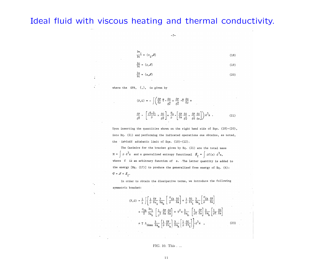### Ideal fluid with viscous heating and thermal conductivity.

 $-7-$ 

$$
\frac{\partial v_i}{\partial t} = \{v_i, A\}
$$
\n(18)\n
$$
\frac{\partial \rho}{\partial t} = \{\rho, A\}
$$
\n(19)

$$
\frac{\partial s}{\partial t} = \{s, H\}
$$
 (20)

where the GPB, {,}, is given by

 $\tilde{\bullet}$ 

 $\mathbb{R}^2$ 

 $\epsilon_{\rm a}$ 

 $\ddot{\phantom{a}}$ 

$$
\begin{aligned}\n\{\mathbf{F},\mathbf{G}\} &= -\int \left(\frac{\delta \mathbf{F}}{\delta \rho} \vec{\nabla} \cdot \frac{\delta \mathbf{G}}{\delta \vec{\nabla}} + \frac{\delta \mathbf{F}}{\delta \vec{\nabla}} \cdot \vec{\nabla} \frac{\delta \mathbf{G}}{\delta \rho} + \right. \\
&\frac{\delta \mathbf{F}}{\delta \vec{\nabla}} \cdot \left[ \frac{(\vec{\nabla} \times \vec{\nabla})}{\rho} \times \frac{\delta \mathbf{G}}{\delta \vec{\nabla}} \right] + \frac{\vec{\nabla} \mathbf{s}}{\rho} \cdot \left[ \frac{\delta \mathbf{F}}{\delta \mathbf{s}} \frac{\delta \mathbf{G}}{\delta \vec{\nabla}} - \frac{\delta \mathbf{F}}{\delta \vec{\nabla} \delta \mathbf{s}} \right] \right) d^3 \mathbf{x} .\n\end{aligned} \tag{21}
$$

Upon inserting the quantities shown on the right hand side of Eqs.  $(18)-(20)$ , into Eq. (21) and performing the indicated operations one obtains, as noted, the invicdd adiabatic limit of Eqs.  $(10)-(12)$ .

The Casimirs for the bracket given by Eq. (21) are the total mass  $M = \int \rho d^3x$  and a generalized entropy functional  $\mathcal{S}_{\varphi}$ where f is an arbitrary function of s. The latter quantity is added to the energy  $[Eq. (17)]$  to produce the generalized free energy of Eq.  $(4)$ :  $\mathcal{Q}=\mathcal{H}+\mathcal{S}_{\epsilon}.$ 

In order to obtain the dissipative terms, we introduce the following symmetric bracket:

$$
(\mathbf{F}, \mathbf{G}) = \frac{1}{\lambda} \int \left\{ \frac{1}{\rho} \frac{\delta \mathbf{F}}{\delta \mathbf{v}_{1}} \frac{\partial}{\partial \mathbf{x}_{k}} \left[ \frac{\sigma_{1k}}{\rho} \frac{\delta \mathbf{G}}{\delta \mathbf{s}} \right] + \frac{1}{\rho} \frac{\delta \mathbf{G}}{\delta \mathbf{v}_{1}} \frac{\partial}{\partial \mathbf{x}_{k}} \left[ \frac{\sigma_{1k}}{\rho} \frac{\delta \mathbf{F}}{\delta \mathbf{s}} \right] \right\} + \frac{\sigma_{1k}}{T} \frac{\partial \mathbf{v}_{1}}{\partial \mathbf{x}_{k}} \left[ \frac{1}{\rho^{2}} \frac{\delta \mathbf{F}}{\delta \mathbf{s}} \frac{\delta \mathbf{G}}{\delta \mathbf{s}} \right] + \mathbf{T}^{2} \kappa \frac{\partial}{\partial \mathbf{x}_{k}} \left[ \frac{1}{\rho T} \frac{\delta \mathbf{F}}{\delta \mathbf{s}} \right] \frac{\partial}{\partial \mathbf{x}_{k}} \left[ \frac{1}{\rho T} \frac{\delta \mathbf{F}}{\delta \mathbf{s}} \right]
$$

$$
+ \mathbf{T} \Lambda_{1kmn} \frac{\partial}{\partial \mathbf{x}_{m}} \left[ \frac{1}{\rho} \frac{\delta \mathbf{F}}{\delta \mathbf{v}_{n}} \right] \frac{\partial}{\partial \mathbf{x}_{k}} \left[ \frac{1}{\rho} \frac{\delta \mathbf{G}}{\delta \mathbf{v}_{1}} \right] \right\} d^{3} \mathbf{x} \qquad (23)
$$

#### FIG. 10. This . ...

11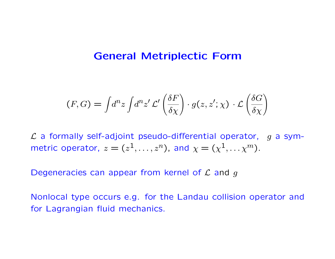### General Metriplectic Form

$$
(F, G) = \int d^n z \int d^n z' \mathcal{L}' \left( \frac{\delta F}{\delta \chi} \right) \cdot g(z, z'; \chi) \cdot \mathcal{L} \left( \frac{\delta G}{\delta \chi} \right)
$$

 $\mathcal L$  a formally self-adjoint pseudo-differential operator, g a symmetric operator,  $z = (z^1, \ldots, z^n)$ , and  $\chi = (\chi^1, \ldots, \chi^m)$ .

Degeneracies can appear from kernel of  $\mathcal L$  and  $g$ 

Nonlocal type occurs e.g. for the Landau collision operator and for Lagrangian fluid mechanics.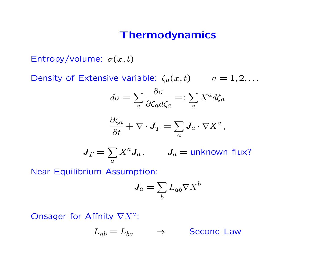## Thermodynamics

Entropy/volume:  $\sigma(x,t)$ 

Density of Extensive variable:  $\zeta_a(x,t)$   $a = 1,2,...$ 

$$
d\sigma = \sum_{a} \frac{\partial \sigma}{\partial \zeta_a d\zeta_a} =: \sum_{a} X^a d\zeta_a
$$

$$
\frac{\partial \zeta_a}{\partial t} + \nabla \cdot \boldsymbol{J}_T = \sum_a \boldsymbol{J}_a \cdot \nabla X^a \,,
$$

$$
J_T = \sum_a X^a J_a, \qquad J_a = \text{unknown flux?}
$$

Near Equilibrium Assumption:

$$
J_a = \sum_b L_{ab} \nabla X^b
$$

Onsager for Affnity  $\nabla X^a$ :

$$
L_{ab} = L_{ba} \qquad \Rightarrow \qquad \text{Second Law}
$$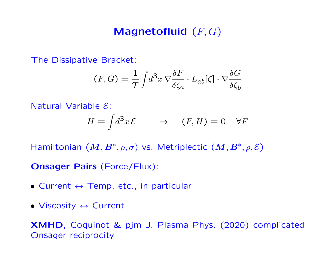# Magnetofluid  $(F, G)$

The Dissipative Bracket:

$$
(F, G) = \frac{1}{\mathcal{T}} \int d^3x \, \nabla \frac{\delta F}{\delta \zeta_a} \cdot L_{ab}[\zeta] \cdot \nabla \frac{\delta G}{\delta \zeta_b}
$$

Natural Variable E:

$$
H = \int d^3x \, \mathcal{E} \qquad \Rightarrow \quad (F, H) = 0 \quad \forall F
$$

Hamiltonian  $(M, B^*, \rho, \sigma)$  vs. Metriplectic  $(M, B^*, \rho, \mathcal{E})$ 

Onsager Pairs (Force/Flux):

- Current  $\leftrightarrow$  Temp, etc., in particular
- Viscosity  $\leftrightarrow$  Current

XMHD, Coquinot & pjm J. Plasma Phys. (2020) complicated Onsager reciprocity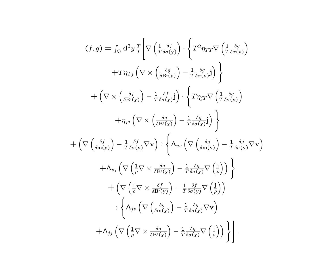$$
(f,g) = \int_{\Omega} d^{3}y \frac{T}{T} \left[ \nabla \left( \frac{1}{T} \frac{\delta f}{\delta \sigma(y)} \right) \cdot \left\{ T^{2} \eta_{TT} \nabla \left( \frac{1}{T} \frac{\delta g}{\delta \sigma(y)} \right) \right. \right. \\
\left. + T \eta_{Tj} \left( \nabla \times \left( \frac{\delta g}{\delta \mathbf{B}^{z}(y)} \right) - \frac{1}{T} \frac{\delta g}{\delta \sigma(y)} \mathbf{j} \right) \right\} \\
+ \left( \nabla \times \left( \frac{\delta f}{\delta \mathbf{B}^{z}(y)} \right) - \frac{1}{T} \frac{\delta f}{\delta \sigma(y)} \mathbf{j} \right) \cdot \left\{ T \eta_{jT} \nabla \left( \frac{1}{T} \frac{\delta g}{\delta \sigma(y)} \right) \right. \\
\left. + \eta_{jj} \left( \nabla \times \left( \frac{\delta g}{\delta \mathbf{B}^{z}(y)} \right) - \frac{1}{T} \frac{\delta g}{\delta \sigma(y)} \mathbf{j} \right) \right\} \\
+ \left( \nabla \left( \frac{\delta f}{\delta \mathbf{m}(y)} \right) - \frac{1}{T} \frac{\delta f}{\delta \sigma(y)} \nabla \mathbf{v} \right) : \left\{ \Lambda_{vv} \left( \nabla \left( \frac{\delta g}{\delta \mathbf{m}(y)} \right) - \frac{1}{T} \frac{\delta g}{\delta \sigma(y)} \nabla \mathbf{v} \right) \right. \\
\left. + \Lambda_{vj} \left( \nabla \left( \frac{1}{\rho} \nabla \times \frac{\delta g}{\delta \mathbf{B}^{z}(y)} \right) - \frac{1}{T} \frac{\delta g}{\delta \sigma(y)} \nabla \left( \frac{\mathbf{j}}{\rho} \right) \right) \right\} \\
+ \left( \nabla \left( \frac{1}{\rho} \nabla \times \frac{\delta f}{\delta \mathbf{B}^{z}(y)} \right) - \frac{1}{T} \frac{\delta g}{\delta \sigma(y)} \nabla \left( \frac{\mathbf{j}}{\rho} \right) \right) \\
\cdot \left\{ \Lambda_{jv} \left( \nabla \left( \frac{\delta g}{\delta \mathbf{m}(y)} \right) - \frac{1}{T} \frac{\delta g}{\delta \sigma
$$